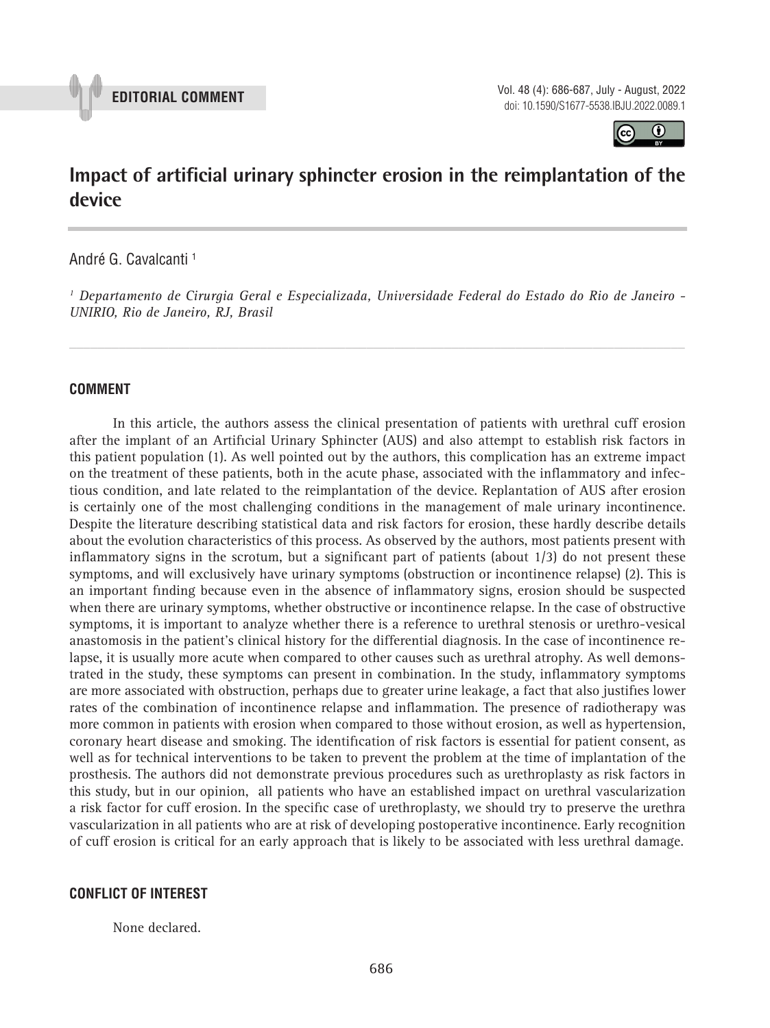

**EDITORIAL COMMENT** Vol. 48 (4): 686-687, July - August, 2022 doi: 10.1590/S1677-5538.IBJU.2022.0089.1



# **Impact of artificial urinary sphincter erosion in the reimplantation of the device \_\_\_\_\_\_\_\_\_\_\_\_\_\_\_\_\_\_\_\_\_\_\_\_\_\_\_\_\_\_\_\_\_\_\_\_\_\_\_\_\_\_\_\_\_\_\_**

André G. Cavalcanti 1

*1 Departamento de Cirurgia Geral e Especializada, Universidade Federal do Estado do Rio de Janeiro - UNIRIO, Rio de Janeiro, RJ, Brasil*

*\_\_\_\_\_\_\_\_\_\_\_\_\_\_\_\_\_\_\_\_\_\_\_\_\_\_\_\_\_\_\_\_\_\_\_\_\_\_\_\_\_\_\_\_\_\_\_\_\_\_\_\_\_\_\_\_\_\_\_\_\_\_\_\_\_\_\_\_\_\_\_\_\_\_\_\_\_\_\_\_\_\_\_\_\_\_\_*

#### **COMMENT**

In this article, the authors assess the clinical presentation of patients with urethral cuff erosion after the implant of an Artificial Urinary Sphincter (AUS) and also attempt to establish risk factors in this patient population (1). As well pointed out by the authors, this complication has an extreme impact on the treatment of these patients, both in the acute phase, associated with the inflammatory and infectious condition, and late related to the reimplantation of the device. Replantation of AUS after erosion is certainly one of the most challenging conditions in the management of male urinary incontinence. Despite the literature describing statistical data and risk factors for erosion, these hardly describe details about the evolution characteristics of this process. As observed by the authors, most patients present with inflammatory signs in the scrotum, but a significant part of patients (about  $1/3$ ) do not present these symptoms, and will exclusively have urinary symptoms (obstruction or incontinence relapse) (2). This is an important finding because even in the absence of inflammatory signs, erosion should be suspected when there are urinary symptoms, whether obstructive or incontinence relapse. In the case of obstructive symptoms, it is important to analyze whether there is a reference to urethral stenosis or urethro-vesical anastomosis in the patient's clinical history for the differential diagnosis. In the case of incontinence relapse, it is usually more acute when compared to other causes such as urethral atrophy. As well demonstrated in the study, these symptoms can present in combination. In the study, inflammatory symptoms are more associated with obstruction, perhaps due to greater urine leakage, a fact that also justifies lower rates of the combination of incontinence relapse and inflammation. The presence of radiotherapy was more common in patients with erosion when compared to those without erosion, as well as hypertension, coronary heart disease and smoking. The identification of risk factors is essential for patient consent, as well as for technical interventions to be taken to prevent the problem at the time of implantation of the prosthesis. The authors did not demonstrate previous procedures such as urethroplasty as risk factors in this study, but in our opinion, all patients who have an established impact on urethral vascularization a risk factor for cuff erosion. In the specific case of urethroplasty, we should try to preserve the urethra vascularization in all patients who are at risk of developing postoperative incontinence. Early recognition of cuff erosion is critical for an early approach that is likely to be associated with less urethral damage.

#### **CONFLICT OF INTEREST**

None declared.